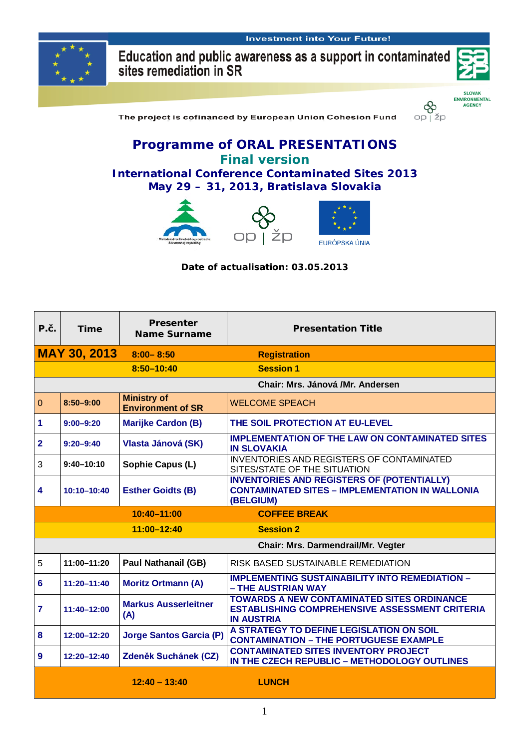

Education and public awareness as a support in contaminated<br>sites remediation in SR



**SLOVAK** ENVIRONMENTAL<br>AGENCY

 $op \upharpoonright \check{z}p$ 

The project is cofinanced by European Union Cohesion Fund

### **Programme of ORAL PRESENTATIONS Final version International Conference Contaminated Sites 2013**

### **May 29 – 31, 2013, Bratislava Slovakia**



#### **Date of actualisation: 03.05.2013**

| P.č.                               | <b>Time</b>                      | <b>Presenter</b><br><b>Name Surname</b>        | <b>Presentation Title</b>                                                                                                       |  |  |  |
|------------------------------------|----------------------------------|------------------------------------------------|---------------------------------------------------------------------------------------------------------------------------------|--|--|--|
|                                    | <b>MAY 30, 2013</b>              | $8:00 - 8:50$                                  | <b>Registration</b>                                                                                                             |  |  |  |
|                                    |                                  | 8:50-10:40                                     | <b>Session 1</b>                                                                                                                |  |  |  |
|                                    | Chair: Mrs. Jánová /Mr. Andersen |                                                |                                                                                                                                 |  |  |  |
| $\overline{0}$                     | $8:50 - 9:00$                    | <b>Ministry of</b><br><b>Environment of SR</b> | <b>WELCOME SPEACH</b>                                                                                                           |  |  |  |
| 1                                  | $9:00 - 9:20$                    | <b>Marijke Cardon (B)</b>                      | THE SOIL PROTECTION AT EU-LEVEL                                                                                                 |  |  |  |
| $\overline{2}$                     | $9:20 - 9:40$                    | Vlasta Jánová (SK)                             | <b>IMPLEMENTATION OF THE LAW ON CONTAMINATED SITES</b><br><b>IN SLOVAKIA</b>                                                    |  |  |  |
| 3                                  | $9:40 - 10:10$                   | Sophie Capus (L)                               | <b>INVENTORIES AND REGISTERS OF CONTAMINATED</b><br>SITES/STATE OF THE SITUATION                                                |  |  |  |
| 4                                  | $10:10 - 10:40$                  | <b>Esther Goidts (B)</b>                       | <b>INVENTORIES AND REGISTERS OF (POTENTIALLY)</b><br><b>CONTAMINATED SITES - IMPLEMENTATION IN WALLONIA</b><br>(BELGIUM)        |  |  |  |
|                                    |                                  | 10:40-11:00                                    | <b>COFFEE BREAK</b>                                                                                                             |  |  |  |
|                                    |                                  | 11:00-12:40                                    | <b>Session 2</b>                                                                                                                |  |  |  |
| Chair: Mrs. Darmendrail/Mr. Vegter |                                  |                                                |                                                                                                                                 |  |  |  |
| 5                                  | $11:00 - 11:20$                  | <b>Paul Nathanail (GB)</b>                     | RISK BASED SUSTAINABLE REMEDIATION                                                                                              |  |  |  |
| 6                                  | $11:20 - 11:40$                  | <b>Moritz Ortmann (A)</b>                      | <b>IMPLEMENTING SUSTAINABILITY INTO REMEDIATION -</b><br>- THE AUSTRIAN WAY                                                     |  |  |  |
| $\overline{7}$                     | 11:40-12:00                      | <b>Markus Ausserleitner</b><br>(A)             | <b>TOWARDS A NEW CONTAMINATED SITES ORDINANCE</b><br><b>ESTABLISHING COMPREHENSIVE ASSESSMENT CRITERIA</b><br><b>IN AUSTRIA</b> |  |  |  |
| 8                                  | 12:00-12:20                      | <b>Jorge Santos Garcia (P)</b>                 | A STRATEGY TO DEFINE LEGISLATION ON SOIL<br><b>CONTAMINATION - THE PORTUGUESE EXAMPLE</b>                                       |  |  |  |
| 9                                  | $12:20 - 12:40$                  | Zdeněk Suchánek (CZ)                           | <b>CONTAMINATED SITES INVENTORY PROJECT</b><br>IN THE CZECH REPUBLIC - METHODOLOGY OUTLINES                                     |  |  |  |
|                                    |                                  | $12:40 - 13:40$                                | <b>LUNCH</b>                                                                                                                    |  |  |  |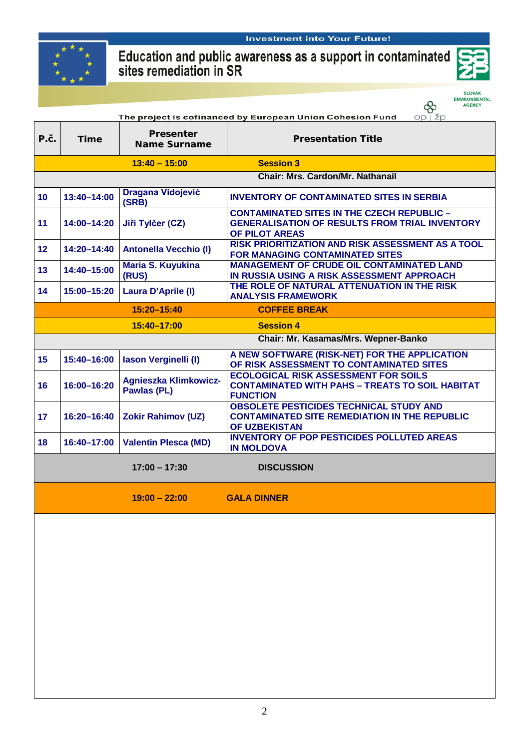

#### **Investment into Your Future!**

# Education and public awareness as a support in contaminated<br>sites remediation in SR



SLOVAK<br>ENVIRONMENTAL<br>AGENCY

|                                                                      |             |                                             | <b>ENVIRONMENTAL</b><br>♧<br><b>AGENCY</b>                                                                                   |  |  |  |
|----------------------------------------------------------------------|-------------|---------------------------------------------|------------------------------------------------------------------------------------------------------------------------------|--|--|--|
| The project is cofinanced by European Union Cohesion Fund<br>OD I ŽD |             |                                             |                                                                                                                              |  |  |  |
| P.č.                                                                 | <b>Time</b> | <b>Presenter</b><br>Name Surname            | <b>Presentation Title</b>                                                                                                    |  |  |  |
|                                                                      |             | $13:40 - 15:00$                             | <b>Session 3</b>                                                                                                             |  |  |  |
|                                                                      |             |                                             | <b>Chair: Mrs. Cardon/Mr. Nathanail</b>                                                                                      |  |  |  |
| 10                                                                   | 13:40-14:00 | <b>Dragana Vidojević</b><br>(SRB)           | <b>INVENTORY OF CONTAMINATED SITES IN SERBIA</b>                                                                             |  |  |  |
| 11                                                                   | 14:00-14:20 | Jiří Tylčer (CZ)                            | <b>CONTAMINATED SITES IN THE CZECH REPUBLIC -</b><br><b>GENERALISATION OF RESULTS FROM TRIAL INVENTORY</b><br>OF PILOT AREAS |  |  |  |
| 12 <sub>2</sub>                                                      | 14:20-14:40 | <b>Antonella Vecchio (I)</b>                | <b>RISK PRIORITIZATION AND RISK ASSESSMENT AS A TOOL</b><br><b>FOR MANAGING CONTAMINATED SITES</b>                           |  |  |  |
| 13                                                                   | 14:40-15:00 | <b>Maria S. Kuyukina</b><br>(RUS)           | <b>MANAGEMENT OF CRUDE OIL CONTAMINATED LAND</b><br>IN RUSSIA USING A RISK ASSESSMENT APPROACH                               |  |  |  |
| 14                                                                   | 15:00-15:20 | <b>Laura D'Aprile (I)</b>                   | THE ROLE OF NATURAL ATTENUATION IN THE RISK<br><b>ANALYSIS FRAMEWORK</b>                                                     |  |  |  |
|                                                                      |             | 15:20-15:40                                 | <b>COFFEE BREAK</b>                                                                                                          |  |  |  |
|                                                                      |             | 15:40-17:00                                 | <b>Session 4</b>                                                                                                             |  |  |  |
|                                                                      |             |                                             | Chair: Mr. Kasamas/Mrs. Wepner-Banko                                                                                         |  |  |  |
| 15                                                                   | 15:40-16:00 | Iason Verginelli (I)                        | A NEW SOFTWARE (RISK-NET) FOR THE APPLICATION<br>OF RISK ASSESSMENT TO CONTAMINATED SITES                                    |  |  |  |
| 16                                                                   | 16:00-16:20 | <b>Agnieszka Klimkowicz-</b><br>Pawlas (PL) | <b>ECOLOGICAL RISK ASSESSMENT FOR SOILS</b><br><b>CONTAMINATED WITH PAHS - TREATS TO SOIL HABITAT</b><br><b>FUNCTION</b>     |  |  |  |
| 17                                                                   | 16:20-16:40 | <b>Zokir Rahimov (UZ)</b>                   | <b>OBSOLETE PESTICIDES TECHNICAL STUDY AND</b><br><b>CONTAMINATED SITE REMEDIATION IN THE REPUBLIC</b><br>OF UZBEKISTAN      |  |  |  |
| 18                                                                   | 16:40-17:00 | <b>Valentin Plesca (MD)</b>                 | <b>INVENTORY OF POP PESTICIDES POLLUTED AREAS</b><br><b>IN MOLDOVA</b>                                                       |  |  |  |
|                                                                      |             | $17:00 - 17:30$                             | <b>DISCUSSION</b>                                                                                                            |  |  |  |
|                                                                      |             | $19:00 - 22:00$                             | <b>Example 19 GALA DINNER</b>                                                                                                |  |  |  |
|                                                                      |             |                                             |                                                                                                                              |  |  |  |